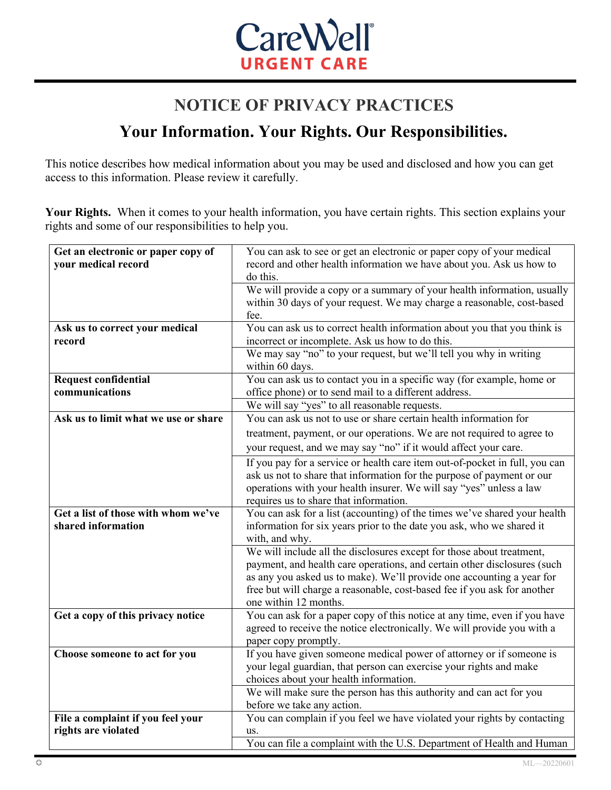

## **NOTICE OF PRIVACY PRACTICES**

## **Your Information. Your Rights. Our Responsibilities.**

This notice describes how medical information about you may be used and disclosed and how you can get access to this information. Please review it carefully.

**Your Rights.** When it comes to your health information, you have certain rights. This section explains your rights and some of our responsibilities to help you.

| Get an electronic or paper copy of   | You can ask to see or get an electronic or paper copy of your medical       |
|--------------------------------------|-----------------------------------------------------------------------------|
| your medical record                  | record and other health information we have about you. Ask us how to        |
|                                      | do this.                                                                    |
|                                      | We will provide a copy or a summary of your health information, usually     |
|                                      | within 30 days of your request. We may charge a reasonable, cost-based      |
|                                      | fee.                                                                        |
| Ask us to correct your medical       | You can ask us to correct health information about you that you think is    |
| record                               | incorrect or incomplete. Ask us how to do this.                             |
|                                      | We may say "no" to your request, but we'll tell you why in writing          |
|                                      | within 60 days.                                                             |
| <b>Request confidential</b>          | You can ask us to contact you in a specific way (for example, home or       |
| communications                       | office phone) or to send mail to a different address.                       |
|                                      | We will say "yes" to all reasonable requests.                               |
| Ask us to limit what we use or share | You can ask us not to use or share certain health information for           |
|                                      | treatment, payment, or our operations. We are not required to agree to      |
|                                      | your request, and we may say "no" if it would affect your care.             |
|                                      | If you pay for a service or health care item out-of-pocket in full, you can |
|                                      | ask us not to share that information for the purpose of payment or our      |
|                                      | operations with your health insurer. We will say "yes" unless a law         |
|                                      | requires us to share that information.                                      |
| Get a list of those with whom we've  | You can ask for a list (accounting) of the times we've shared your health   |
| shared information                   | information for six years prior to the date you ask, who we shared it       |
|                                      | with, and why.                                                              |
|                                      | We will include all the disclosures except for those about treatment,       |
|                                      | payment, and health care operations, and certain other disclosures (such    |
|                                      | as any you asked us to make). We'll provide one accounting a year for       |
|                                      | free but will charge a reasonable, cost-based fee if you ask for another    |
|                                      | one within 12 months.                                                       |
| Get a copy of this privacy notice    | You can ask for a paper copy of this notice at any time, even if you have   |
|                                      | agreed to receive the notice electronically. We will provide you with a     |
|                                      | paper copy promptly.                                                        |
| Choose someone to act for you        | If you have given someone medical power of attorney or if someone is        |
|                                      | your legal guardian, that person can exercise your rights and make          |
|                                      | choices about your health information.                                      |
|                                      | We will make sure the person has this authority and can act for you         |
|                                      | before we take any action.                                                  |
| File a complaint if you feel your    | You can complain if you feel we have violated your rights by contacting     |
| rights are violated                  | us.                                                                         |
|                                      | You can file a complaint with the U.S. Department of Health and Human       |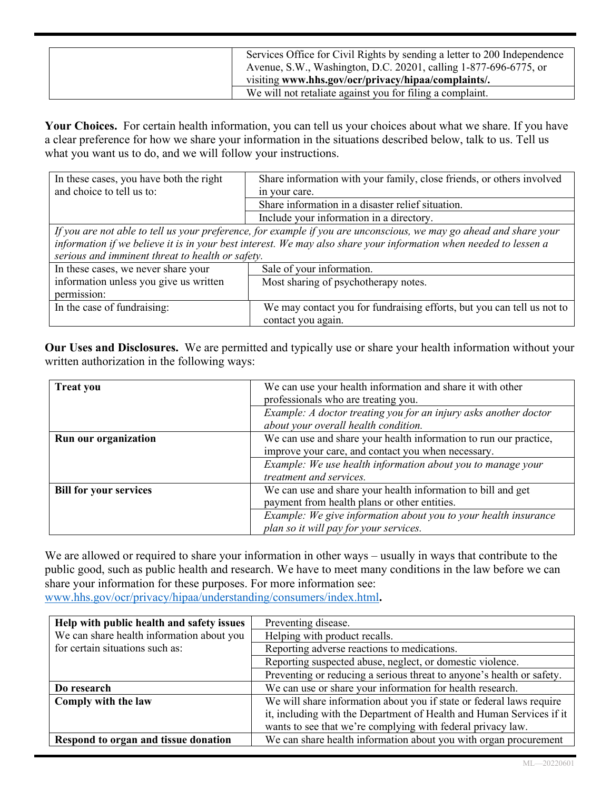| Services Office for Civil Rights by sending a letter to 200 Independence<br>Avenue, S.W., Washington, D.C. 20201, calling 1-877-696-6775, or<br>visiting www.hhs.gov/ocr/privacy/hipaa/complaints/. |
|-----------------------------------------------------------------------------------------------------------------------------------------------------------------------------------------------------|
| We will not retaliate against you for filing a complaint.                                                                                                                                           |

**Your Choices.** For certain health information, you can tell us your choices about what we share. If you have a clear preference for how we share your information in the situations described below, talk to us. Tell us what you want us to do, and we will follow your instructions.

| In these cases, you have both the right                                                                                                                                                                                                                                                     | Share information with your family, close friends, or others involved                        |
|---------------------------------------------------------------------------------------------------------------------------------------------------------------------------------------------------------------------------------------------------------------------------------------------|----------------------------------------------------------------------------------------------|
| and choice to tell us to:                                                                                                                                                                                                                                                                   | in your care.                                                                                |
|                                                                                                                                                                                                                                                                                             | Share information in a disaster relief situation.                                            |
|                                                                                                                                                                                                                                                                                             | Include your information in a directory.                                                     |
| If you are not able to tell us your preference, for example if you are unconscious, we may go ahead and share your<br>information if we believe it is in your best interest. We may also share your information when needed to lessen a<br>serious and imminent threat to health or safety. |                                                                                              |
| In these cases, we never share your                                                                                                                                                                                                                                                         | Sale of your information.                                                                    |
| information unless you give us written<br>permission:                                                                                                                                                                                                                                       | Most sharing of psychotherapy notes.                                                         |
| In the case of fundraising:                                                                                                                                                                                                                                                                 | We may contact you for fundraising efforts, but you can tell us not to<br>contact you again. |

**Our Uses and Disclosures.** We are permitted and typically use or share your health information without your written authorization in the following ways:

| <b>Treat you</b>              | We can use your health information and share it with other<br>professionals who are treating you.                       |
|-------------------------------|-------------------------------------------------------------------------------------------------------------------------|
|                               | Example: A doctor treating you for an injury asks another doctor<br>about your overall health condition.                |
| Run our organization          | We can use and share your health information to run our practice,<br>improve your care, and contact you when necessary. |
|                               | Example: We use health information about you to manage your<br>treatment and services.                                  |
| <b>Bill for your services</b> | We can use and share your health information to bill and get<br>payment from health plans or other entities.            |
|                               | Example: We give information about you to your health insurance<br>plan so it will pay for your services.               |

We are allowed or required to share your information in other ways – usually in ways that contribute to the public good, such as public health and research. We have to meet many conditions in the law before we can share your information for these purposes. For more information see: [www.hhs.gov/ocr/privacy/hipaa/understanding/consumers/index.html](http://www.hhs.gov/ocr/privacy/hipaa/understanding/consumers/index.html)**.**

| Help with public health and safety issues | Preventing disease.                                                   |
|-------------------------------------------|-----------------------------------------------------------------------|
| We can share health information about you | Helping with product recalls.                                         |
| for certain situations such as:           | Reporting adverse reactions to medications.                           |
|                                           | Reporting suspected abuse, neglect, or domestic violence.             |
|                                           | Preventing or reducing a serious threat to anyone's health or safety. |
| Do research                               | We can use or share your information for health research.             |
| Comply with the law                       | We will share information about you if state or federal laws require  |
|                                           | it, including with the Department of Health and Human Services if it  |
|                                           | wants to see that we're complying with federal privacy law.           |
| Respond to organ and tissue donation      | We can share health information about you with organ procurement      |